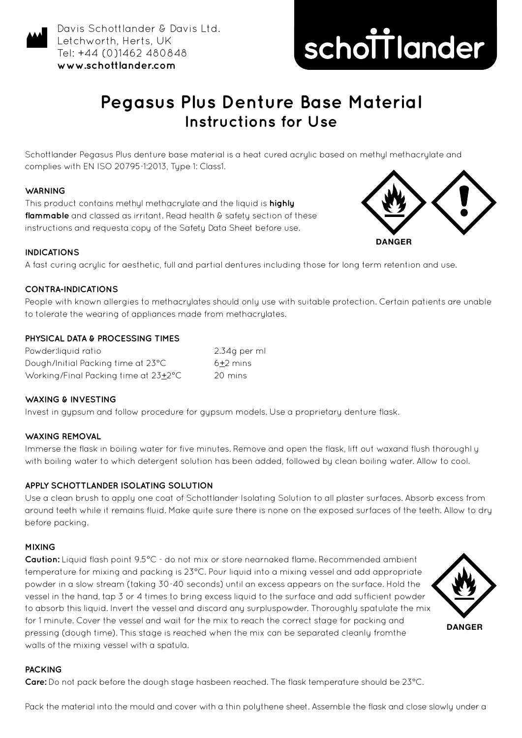

Davis Schottlander & Davis Ltd. Letchworth, Herts, UK Tel: +44 (0)1462 480848 **www.schottlander.com**



# **Pegasus Plus Denture Base Material Instructions for Use**

Schottlander Pegasus Plus denture base material is a heat cured acrylic based on methyl methacrylate and complies with EN ISO 20795-1:2013, Type 1: Class1.

## **WARNING**

This product contains methyl methacrylate and the liquid is **highly**  flammable and classed as irritant. Read health & safety section of these instructions and requesta copy of the Safety Data Sheet before use.





# **INDICATIONS**

A fast curing acrylic for aesthetic, full and partial dentures including those for long term retention and use.

## **CONTRA-INDICATIONS**

People with known allergies to methacrylates should only use with suitable protection. Certain patients are unable to tolerate the wearing of appliances made from methacrylates.

#### **PHYSICAL DATA & PROCESSING TIMES**

| Powder:liauid ratio                  | 2.34q per ml |
|--------------------------------------|--------------|
| Dough/Initial Packing time at 23°C   | $6+2$ mins   |
| Working/Final Packing time at 23±2°C | 20 mins      |

### **WAXING & INVESTING**

Invest in gypsum and follow procedure for gypsum models. Use a proprietary denture flask.

# **WAXING REMOVAL**

Immerse the flask in boiling water for five minutes. Remove and open the flask, lift out waxand flush thoroughl y with boiling water to which detergent solution has been added, followed by clean boiling water. Allow to cool.

## **APPLY SCHOTTLANDER ISOLATING SOLUTION**

Use a clean brush to apply one coat of Schottlander Isolating Solution to all plaster surfaces. Absorb excess from around teeth while it remains fluid. Make quite sure there is none on the exposed surfaces of the teeth. Allow to dry before packing.

## **MIXING**

**Caution:** Liquid flash point 9.5°C - do not mix or store nearnaked flame. Recommended ambient temperature for mixing and packing is 23°C. Pour liquid into a mixing vessel and add appropriate powder in a slow stream (taking 30-40 seconds) until an excess appears on the surface. Hold the vessel in the hand, tap 3 or 4 times to bring excess liquid to the surface and add sufficient powder to absorb this liquid. Invert the vessel and discard any surpluspowder. Thoroughly spatulate the mix for 1 minute. Cover the vessel and wait for the mix to reach the correct stage for packing and pressing (dough time). This stage is reached when the mix can be separated cleanly fromthe walls of the mixing vessel with a spatula.



# **PACKING**

**Care:** Do not pack before the dough stage hasbeen reached. The flask temperature should be 23°C.

Pack the material into the mould and cover with a thin polythene sheet. Assemble the flask and close slowly under a